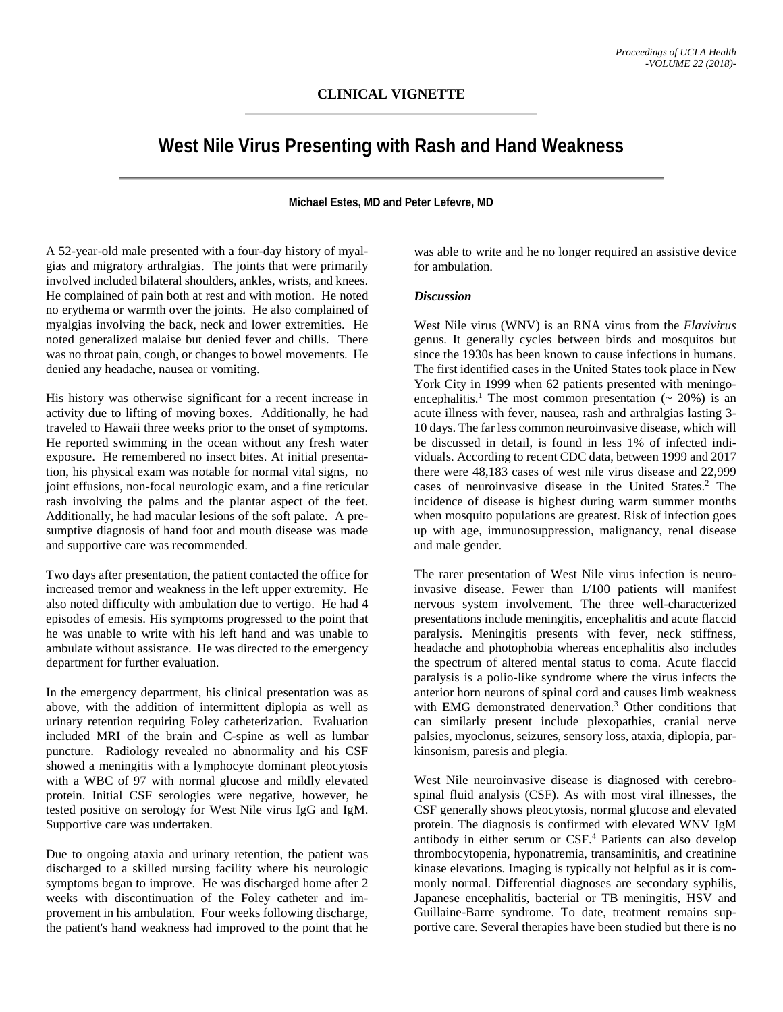## **CLINICAL VIGNETTE**

# **West Nile Virus Presenting with Rash and Hand Weakness**

#### **Michael Estes, MD and Peter Lefevre, MD**

A 52-year-old male presented with a four-day history of myalgias and migratory arthralgias. The joints that were primarily involved included bilateral shoulders, ankles, wrists, and knees. He complained of pain both at rest and with motion. He noted no erythema or warmth over the joints. He also complained of myalgias involving the back, neck and lower extremities. He noted generalized malaise but denied fever and chills. There was no throat pain, cough, or changes to bowel movements. He denied any headache, nausea or vomiting.

His history was otherwise significant for a recent increase in activity due to lifting of moving boxes. Additionally, he had traveled to Hawaii three weeks prior to the onset of symptoms. He reported swimming in the ocean without any fresh water exposure. He remembered no insect bites. At initial presentation, his physical exam was notable for normal vital signs, no joint effusions, non-focal neurologic exam, and a fine reticular rash involving the palms and the plantar aspect of the feet. Additionally, he had macular lesions of the soft palate. A presumptive diagnosis of hand foot and mouth disease was made and supportive care was recommended.

Two days after presentation, the patient contacted the office for increased tremor and weakness in the left upper extremity. He also noted difficulty with ambulation due to vertigo. He had 4 episodes of emesis. His symptoms progressed to the point that he was unable to write with his left hand and was unable to ambulate without assistance. He was directed to the emergency department for further evaluation.

In the emergency department, his clinical presentation was as above, with the addition of intermittent diplopia as well as urinary retention requiring Foley catheterization. Evaluation included MRI of the brain and C-spine as well as lumbar puncture. Radiology revealed no abnormality and his CSF showed a meningitis with a lymphocyte dominant pleocytosis with a WBC of 97 with normal glucose and mildly elevated protein. Initial CSF serologies were negative, however, he tested positive on serology for West Nile virus IgG and IgM. Supportive care was undertaken.

Due to ongoing ataxia and urinary retention, the patient was discharged to a skilled nursing facility where his neurologic symptoms began to improve. He was discharged home after 2 weeks with discontinuation of the Foley catheter and improvement in his ambulation. Four weeks following discharge, the patient's hand weakness had improved to the point that he

was able to write and he no longer required an assistive device for ambulation.

#### *Discussion*

West Nile virus (WNV) is an RNA virus from the *Flavivirus* genus. It generally cycles between birds and mosquitos but since the 1930s has been known to cause infections in humans. The first identified cases in the United States took place in New York City in 1999 when 62 patients presented with meningoencephalitis.<sup>1</sup> The most common presentation  $($   $\sim$  20% $)$  is an acute illness with fever, nausea, rash and arthralgias lasting 3- 10 days. The far less common neuroinvasive disease, which will be discussed in detail, is found in less 1% of infected individuals. According to recent CDC data, between 1999 and 2017 there were 48,183 cases of west nile virus disease and 22,999 cases of neuroinvasive disease in the United States. <sup>2</sup> The incidence of disease is highest during warm summer months when mosquito populations are greatest. Risk of infection goes up with age, immunosuppression, malignancy, renal disease and male gender.

The rarer presentation of West Nile virus infection is neuroinvasive disease. Fewer than 1/100 patients will manifest nervous system involvement. The three well-characterized presentations include meningitis, encephalitis and acute flaccid paralysis. Meningitis presents with fever, neck stiffness, headache and photophobia whereas encephalitis also includes the spectrum of altered mental status to coma. Acute flaccid paralysis is a polio-like syndrome where the virus infects the anterior horn neurons of spinal cord and causes limb weakness with EMG demonstrated denervation. <sup>3</sup> Other conditions that can similarly present include plexopathies, cranial nerve palsies, myoclonus, seizures, sensory loss, ataxia, diplopia, parkinsonism, paresis and plegia.

West Nile neuroinvasive disease is diagnosed with cerebrospinal fluid analysis (CSF). As with most viral illnesses, the CSF generally shows pleocytosis, normal glucose and elevated protein. The diagnosis is confirmed with elevated WNV IgM antibody in either serum or CSF. <sup>4</sup> Patients can also develop thrombocytopenia, hyponatremia, transaminitis, and creatinine kinase elevations. Imaging is typically not helpful as it is commonly normal. Differential diagnoses are secondary syphilis, Japanese encephalitis, bacterial or TB meningitis, HSV and Guillaine-Barre syndrome. To date, treatment remains supportive care. Several therapies have been studied but there is no